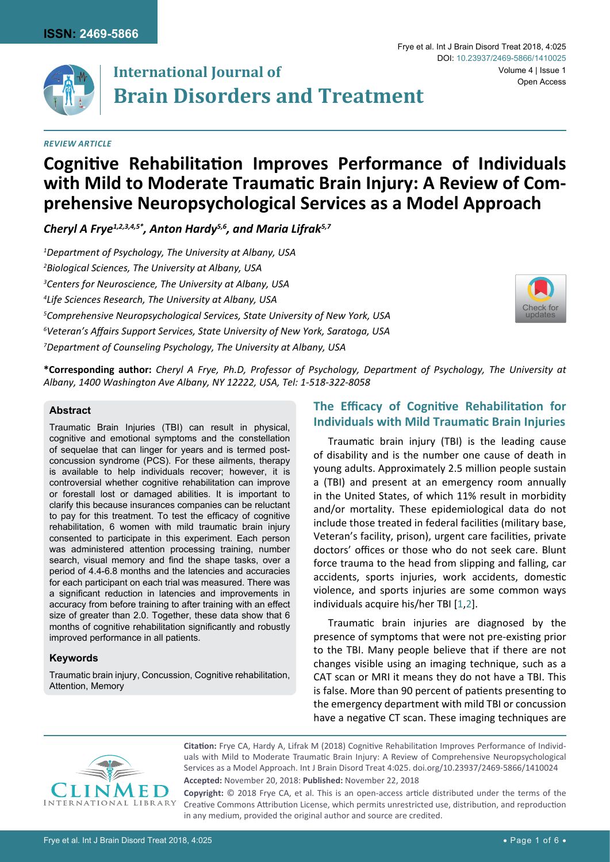

# **International Journal of Brain Disorders and Treatment**

# *Review Article*

# **Cognitive Rehabilitation Improves Performance of Individuals with Mild to Moderate Traumatic Brain Injury: A Review of Comprehensive Neuropsychological Services as a Model Approach**

*Cheryl A Frye1,2,3,4,5\*, Anton Hardy5,6, and Maria Lifrak5,7*

 *Department of Psychology, The University at Albany, USA Biological Sciences, The University at Albany, USA Centers for Neuroscience, The University at Albany, USA Life Sciences Research, The University at Albany, USA Comprehensive Neuropsychological Services, State University of New York, USA Veteran's Affairs Support Services, State University of New York, Saratoga, USA Department of Counseling Psychology, The University at Albany, USA*



**\*Corresponding author:** *Cheryl A Frye, Ph.D, Professor of Psychology, Department of Psychology, The University at Albany, 1400 Washington Ave Albany, NY 12222, USA, Tel: 1-518-322-8058* 

#### **Abstract**

Traumatic Brain Injuries (TBI) can result in physical, cognitive and emotional symptoms and the constellation of sequelae that can linger for years and is termed postconcussion syndrome (PCS). For these ailments, therapy is available to help individuals recover; however, it is controversial whether cognitive rehabilitation can improve or forestall lost or damaged abilities. It is important to clarify this because insurances companies can be reluctant to pay for this treatment. To test the efficacy of cognitive rehabilitation, 6 women with mild traumatic brain injury consented to participate in this experiment. Each person was administered attention processing training, number search, visual memory and find the shape tasks, over a period of 4.4-6.8 months and the latencies and accuracies for each participant on each trial was measured. There was a significant reduction in latencies and improvements in accuracy from before training to after training with an effect size of greater than 2.0. Together, these data show that 6 months of cognitive rehabilitation significantly and robustly improved performance in all patients.

# **Keywords**

Traumatic brain injury, Concussion, Cognitive rehabilitation, Attention, Memory

# **The Efficacy of Cognitive Rehabilitation for Individuals with Mild Traumatic Brain Injuries**

Traumatic brain injury (TBI) is the leading cause of disability and is the number one cause of death in young adults. Approximately 2.5 million people sustain a (TBI) and present at an emergency room annually in the United States, of which 11% result in morbidity and/or mortality. These epidemiological data do not include those treated in federal facilities (military base, Veteran's facility, prison), urgent care facilities, private doctors' offices or those who do not seek care. Blunt force trauma to the head from slipping and falling, car accidents, sports injuries, work accidents, domestic violence, and sports injuries are some common ways individuals acquire his/her TBI [[1](#page-5-0),[2](#page-5-1)].

Traumatic brain injuries are diagnosed by the presence of symptoms that were not pre-existing prior to the TBI. Many people believe that if there are not changes visible using an imaging technique, such as a CAT scan or MRI it means they do not have a TBI. This is false. More than 90 percent of patients presenting to the emergency department with mild TBI or concussion have a negative CT scan. These imaging techniques are



**Citation:** Frye CA, Hardy A, Lifrak M (2018) Cognitive Rehabilitation Improves Performance of Individuals with Mild to Moderate Traumatic Brain Injury: A Review of Comprehensive Neuropsychological Services as a Model Approach. Int J Brain Disord Treat 4:025. [doi.org/10.23937/2469-5866/1410024](https://doi.org/10.23937/2469-5866/1410025) **Accepted:** November 20, 2018: **Published:** November 22, 2018

**Copyright:** © 2018 Frye CA, et al. This is an open-access article distributed under the terms of the Creative Commons Attribution License, which permits unrestricted use, distribution, and reproduction in any medium, provided the original author and source are credited.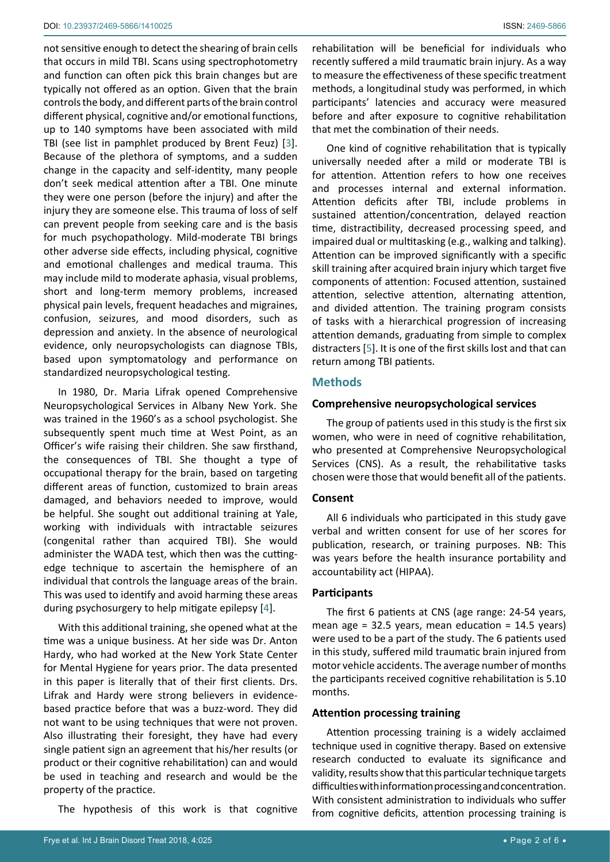not sensitive enough to detect the shearing of brain cells that occurs in mild TBI. Scans using spectrophotometry and function can often pick this brain changes but are typically not offered as an option. Given that the brain controls the body, and different parts of the brain control different physical, cognitive and/or emotional functions, up to 140 symptoms have been associated with mild TBI (see list in pamphlet produced by Brent Feuz) [[3](#page-5-2)]. Because of the plethora of symptoms, and a sudden change in the capacity and self-identity, many people don't seek medical attention after a TBI. One minute they were one person (before the injury) and after the injury they are someone else. This trauma of loss of self can prevent people from seeking care and is the basis for much psychopathology. Mild-moderate TBI brings other adverse side effects, including physical, cognitive and emotional challenges and medical trauma. This may include mild to moderate aphasia, visual problems, short and long-term memory problems, increased physical pain levels, frequent headaches and migraines, confusion, seizures, and mood disorders, such as depression and anxiety. In the absence of neurological evidence, only neuropsychologists can diagnose TBIs, based upon symptomatology and performance on standardized neuropsychological testing.

In 1980, Dr. Maria Lifrak opened Comprehensive Neuropsychological Services in Albany New York. She was trained in the 1960's as a school psychologist. She subsequently spent much time at West Point, as an Officer's wife raising their children. She saw firsthand, the consequences of TBI. She thought a type of occupational therapy for the brain, based on targeting different areas of function, customized to brain areas damaged, and behaviors needed to improve, would be helpful. She sought out additional training at Yale, working with individuals with intractable seizures (congenital rather than acquired TBI). She would administer the WADA test, which then was the cuttingedge technique to ascertain the hemisphere of an individual that controls the language areas of the brain. This was used to identify and avoid harming these areas during psychosurgery to help mitigate epilepsy [\[4\]](#page-5-3).

With this additional training, she opened what at the time was a unique business. At her side was Dr. Anton Hardy, who had worked at the New York State Center for Mental Hygiene for years prior. The data presented in this paper is literally that of their first clients. Drs. Lifrak and Hardy were strong believers in evidencebased practice before that was a buzz-word. They did not want to be using techniques that were not proven. Also illustrating their foresight, they have had every single patient sign an agreement that his/her results (or product or their cognitive rehabilitation) can and would be used in teaching and research and would be the property of the practice.

The hypothesis of this work is that cognitive

rehabilitation will be beneficial for individuals who recently suffered a mild traumatic brain injury. As a way to measure the effectiveness of these specific treatment methods, a longitudinal study was performed, in which participants' latencies and accuracy were measured before and after exposure to cognitive rehabilitation that met the combination of their needs.

One kind of cognitive rehabilitation that is typically universally needed after a mild or moderate TBI is for attention. Attention refers to how one receives and processes internal and external information. Attention deficits after TBI, include problems in sustained attention/concentration, delayed reaction time, distractibility, decreased processing speed, and impaired dual or multitasking (e.g., walking and talking). Attention can be improved significantly with a specific skill training after acquired brain injury which target five components of attention: Focused attention, sustained attention, selective attention, alternating attention, and divided attention. The training program consists of tasks with a hierarchical progression of increasing attention demands, graduating from simple to complex distracters [[5](#page-5-4)]. It is one of the first skills lost and that can return among TBI patients.

# **Methods**

# **Comprehensive neuropsychological services**

The group of patients used in this study is the first six women, who were in need of cognitive rehabilitation, who presented at Comprehensive Neuropsychological Services (CNS). As a result, the rehabilitative tasks chosen were those that would benefit all of the patients.

#### **Consent**

All 6 individuals who participated in this study gave verbal and written consent for use of her scores for publication, research, or training purposes. NB: This was years before the health insurance portability and accountability act (HIPAA).

#### **Participants**

The first 6 patients at CNS (age range: 24-54 years, mean age =  $32.5$  years, mean education =  $14.5$  years) were used to be a part of the study. The 6 patients used in this study, suffered mild traumatic brain injured from motor vehicle accidents. The average number of months the participants received cognitive rehabilitation is 5.10 months.

#### **Attention processing training**

Attention processing training is a widely acclaimed technique used in cognitive therapy. Based on extensive research conducted to evaluate its significance and validity, results show that this particular technique targets difficulties with information processing and concentration. With consistent administration to individuals who suffer from cognitive deficits, attention processing training is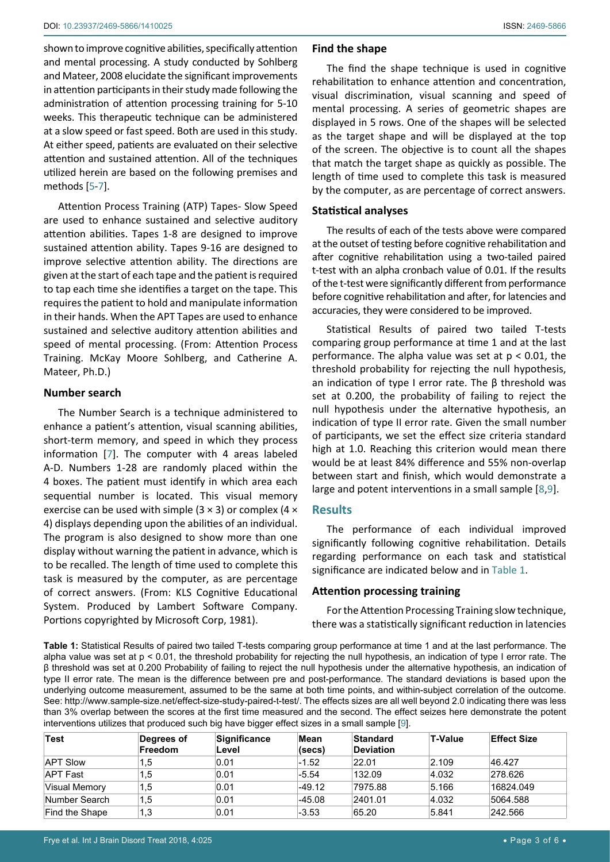shown to improve cognitive abilities, specifically attention and mental processing. A study conducted by Sohlberg and Mateer, 2008 elucidate the significant improvements in attention participants in their study made following the administration of attention processing training for 5-10 weeks. This therapeutic technique can be administered at a slow speed or fast speed. Both are used in this study. At either speed, patients are evaluated on their selective attention and sustained attention. All of the techniques utilized herein are based on the following premises and methods [\[5](#page-5-4)-[7](#page-5-7)].

Attention Process Training (ATP) Tapes- Slow Speed are used to enhance sustained and selective auditory attention abilities. Tapes 1-8 are designed to improve sustained attention ability. Tapes 9-16 are designed to improve selective attention ability. The directions are given at the start of each tape and the patient is required to tap each time she identifies a target on the tape. This requires the patient to hold and manipulate information in their hands. When the APT Tapes are used to enhance sustained and selective auditory attention abilities and speed of mental processing. (From: Attention Process Training. McKay Moore Sohlberg, and Catherine A. Mateer, Ph.D.)

#### **Number search**

The Number Search is a technique administered to enhance a patient's attention, visual scanning abilities, short-term memory, and speed in which they process information [\[7\]](#page-5-7). The computer with 4 areas labeled A-D. Numbers 1-28 are randomly placed within the 4 boxes. The patient must identify in which area each sequential number is located. This visual memory exercise can be used with simple  $(3 \times 3)$  or complex  $(4 \times$ 4) displays depending upon the abilities of an individual. The program is also designed to show more than one display without warning the patient in advance, which is to be recalled. The length of time used to complete this task is measured by the computer, as are percentage of correct answers. (From: KLS Cognitive Educational System. Produced by Lambert Software Company. Portions copyrighted by Microsoft Corp, 1981).

#### **Find the shape**

The find the shape technique is used in cognitive rehabilitation to enhance attention and concentration, visual discrimination, visual scanning and speed of mental processing. A series of geometric shapes are displayed in 5 rows. One of the shapes will be selected as the target shape and will be displayed at the top of the screen. The objective is to count all the shapes that match the target shape as quickly as possible. The length of time used to complete this task is measured by the computer, as are percentage of correct answers.

#### **Statistical analyses**

The results of each of the tests above were compared at the outset of testing before cognitive rehabilitation and after cognitive rehabilitation using a two-tailed paired t-test with an alpha cronbach value of 0.01. If the results of the t-test were significantly different from performance before cognitive rehabilitation and after, for latencies and accuracies, they were considered to be improved.

Statistical Results of paired two tailed T-tests comparing group performance at time 1 and at the last performance. The alpha value was set at  $p < 0.01$ , the threshold probability for rejecting the null hypothesis, an indication of type I error rate. The  $β$  threshold was set at 0.200, the probability of failing to reject the null hypothesis under the alternative hypothesis, an indication of type II error rate. Given the small number of participants, we set the effect size criteria standard high at 1.0. Reaching this criterion would mean there would be at least 84% difference and 55% non-overlap between start and finish, which would demonstrate a large and potent interventions in a small sample [[8,](#page-5-5)[9\]](#page-5-6).

# **Results**

The performance of each individual improved significantly following cognitive rehabilitation. Details regarding performance on each task and statistical significance are indicated below and in [Table 1.](#page-2-0)

#### **Attention processing training**

For the Attention Processing Training slow technique, there was a statistically significant reduction in latencies

<span id="page-2-0"></span>**Table 1:** Statistical Results of paired two tailed T-tests comparing group performance at time 1 and at the last performance. The alpha value was set at p < 0.01, the threshold probability for rejecting the null hypothesis, an indication of type I error rate. The β threshold was set at 0.200 Probability of failing to reject the null hypothesis under the alternative hypothesis, an indication of type II error rate. The mean is the difference between pre and post-performance. The standard deviations is based upon the underlying outcome measurement, assumed to be the same at both time points, and within-subject correlation of the outcome. See:<http://www.sample-size.net/effect-size-study-paired-t-test/>. The effects sizes are all well beyond 2.0 indicating there was less than 3% overlap between the scores at the first time measured and the second. The effect seizes here demonstrate the potent interventions utilizes that produced such big have bigger effect sizes in a small sample [\[9](#page-5-6)].

| Test            | Degrees of<br>Freedom | <b>Significance</b><br>Level | Mean<br>(secs) | Standard<br><b>Deviation</b> | T-Value | <b>Effect Size</b> |
|-----------------|-----------------------|------------------------------|----------------|------------------------------|---------|--------------------|
| <b>APT Slow</b> | 1.5                   | 0.01                         | $-1.52$        | 22.01                        | 2.109   | 46.427             |
| <b>APT Fast</b> | 1,5                   | 0.01                         | $-5.54$        | 132.09                       | 4.032   | 278.626            |
| Visual Memory   | 1.5                   | 0.01                         | $-49.12$       | 7975.88                      | 5.166   | 16824.049          |
| Number Search   | 1,5                   | 0.01                         | $-45.08$       | 2401.01                      | 4.032   | 5064.588           |
| Find the Shape  | 1,3                   | 0.01                         | $-3.53$        | 65.20                        | 5.841   | 242.566            |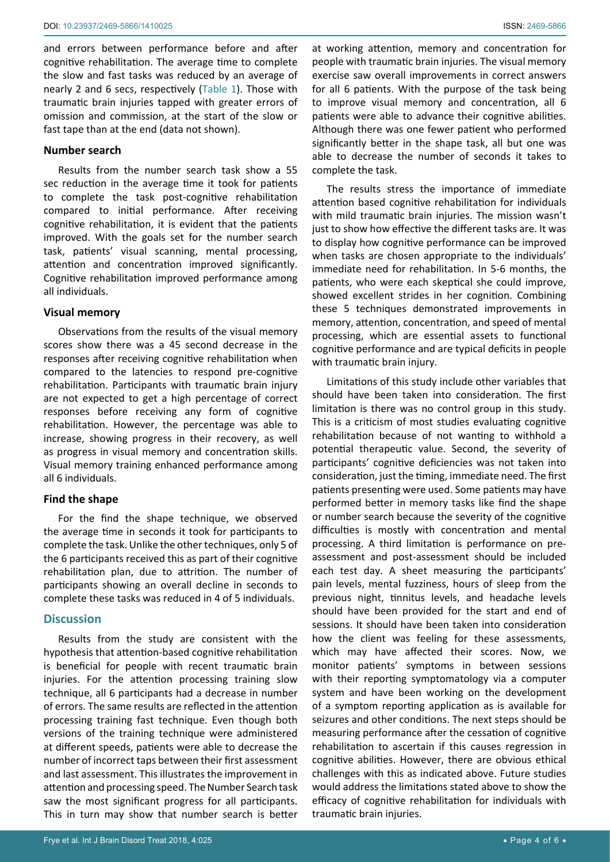and errors between performance before and after cognitive rehabilitation. The average time to complete the slow and fast tasks was reduced by an average of nearly 2 and 6 secs, respectively ([Table 1\)](#page-2-0). Those with traumatic brain injuries tapped with greater errors of omission and commission, at the start of the slow or fast tape than at the end (data not shown).

# **Number search**

Results from the number search task show a 55 sec reduction in the average time it took for patients to complete the task post-cognitive rehabilitation compared to initial performance. After receiving cognitive rehabilitation, it is evident that the patients improved. With the goals set for the number search task, patients' visual scanning, mental processing, attention and concentration improved significantly. Cognitive rehabilitation improved performance among all individuals.

# **Visual memory**

Observations from the results of the visual memory scores show there was a 45 second decrease in the responses after receiving cognitive rehabilitation when compared to the latencies to respond pre-cognitive rehabilitation. Participants with traumatic brain injury are not expected to get a high percentage of correct responses before receiving any form of cognitive rehabilitation. However, the percentage was able to increase, showing progress in their recovery, as well as progress in visual memory and concentration skills. Visual memory training enhanced performance among all 6 individuals.

# **Find the shape**

For the find the shape technique, we observed the average time in seconds it took for participants to complete the task. Unlike the other techniques, only 5 of the 6 participants received this as part of their cognitive rehabilitation plan, due to attrition. The number of participants showing an overall decline in seconds to complete these tasks was reduced in 4 of 5 individuals.

# **Discussion**

Results from the study are consistent with the hypothesis that attention-based cognitive rehabilitation is beneficial for people with recent traumatic brain injuries. For the attention processing training slow technique, all 6 participants had a decrease in number of errors. The same results are reflected in the attention processing training fast technique. Even though both versions of the training technique were administered at different speeds, patients were able to decrease the number of incorrect taps between their first assessment and last assessment. This illustrates the improvement in attention and processing speed. The Number Search task saw the most significant progress for all participants. This in turn may show that number search is better

at working attention, memory and concentration for people with traumatic brain injuries. The visual memory exercise saw overall improvements in correct answers for all 6 patients. With the purpose of the task being to improve visual memory and concentration, all 6 patients were able to advance their cognitive abilities. Although there was one fewer patient who performed significantly better in the shape task, all but one was able to decrease the number of seconds it takes to complete the task.

The results stress the importance of immediate attention based cognitive rehabilitation for individuals with mild traumatic brain injuries. The mission wasn't just to show how effective the different tasks are. It was to display how cognitive performance can be improved when tasks are chosen appropriate to the individuals' immediate need for rehabilitation. In 5-6 months, the patients, who were each skeptical she could improve, showed excellent strides in her cognition. Combining these 5 techniques demonstrated improvements in memory, attention, concentration, and speed of mental processing, which are essential assets to functional cognitive performance and are typical deficits in people with traumatic brain injury.

Limitations of this study include other variables that should have been taken into consideration. The first limitation is there was no control group in this study. This is a criticism of most studies evaluating cognitive rehabilitation because of not wanting to withhold a potential therapeutic value. Second, the severity of participants' cognitive deficiencies was not taken into consideration, just the timing, immediate need. The first patients presenting were used. Some patients may have performed better in memory tasks like find the shape or number search because the severity of the cognitive difficulties is mostly with concentration and mental processing. A third limitation is performance on preassessment and post-assessment should be included each test day. A sheet measuring the participants' pain levels, mental fuzziness, hours of sleep from the previous night, tinnitus levels, and headache levels should have been provided for the start and end of sessions. It should have been taken into consideration how the client was feeling for these assessments, which may have affected their scores. Now, we monitor patients' symptoms in between sessions with their reporting symptomatology via a computer system and have been working on the development of a symptom reporting application as is available for seizures and other conditions. The next steps should be measuring performance after the cessation of cognitive rehabilitation to ascertain if this causes regression in cognitive abilities. However, there are obvious ethical challenges with this as indicated above. Future studies would address the limitations stated above to show the efficacy of cognitive rehabilitation for individuals with traumatic brain injuries.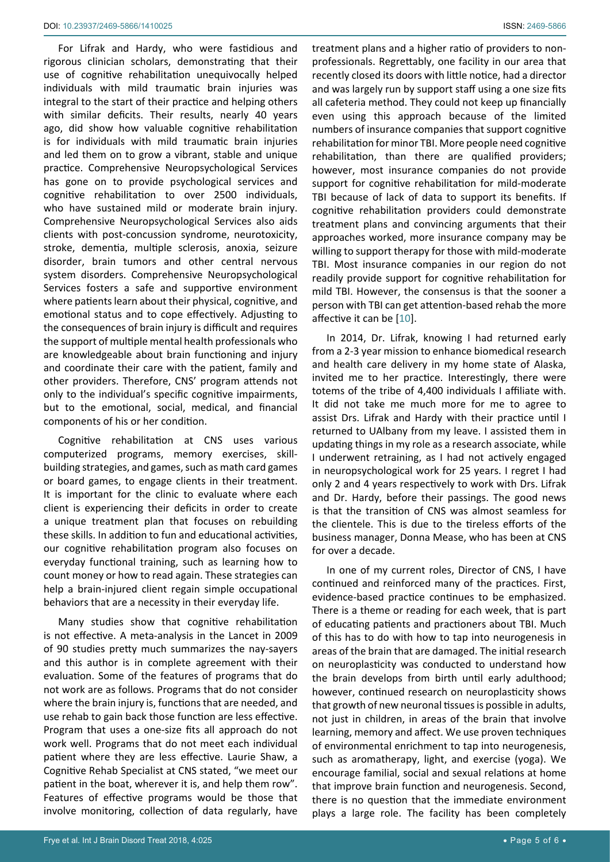For Lifrak and Hardy, who were fastidious and rigorous clinician scholars, demonstrating that their use of cognitive rehabilitation unequivocally helped individuals with mild traumatic brain injuries was integral to the start of their practice and helping others with similar deficits. Their results, nearly 40 years ago, did show how valuable cognitive rehabilitation is for individuals with mild traumatic brain injuries and led them on to grow a vibrant, stable and unique practice. Comprehensive Neuropsychological Services has gone on to provide psychological services and cognitive rehabilitation to over 2500 individuals, who have sustained mild or moderate brain injury. Comprehensive Neuropsychological Services also aids clients with post-concussion syndrome, neurotoxicity, stroke, dementia, multiple sclerosis, anoxia, seizure disorder, brain tumors and other central nervous system disorders. Comprehensive Neuropsychological Services fosters a safe and supportive environment where patients learn about their physical, cognitive, and emotional status and to cope effectively. Adjusting to the consequences of brain injury is difficult and requires the support of multiple mental health professionals who are knowledgeable about brain functioning and injury and coordinate their care with the patient, family and other providers. Therefore, CNS' program attends not only to the individual's specific cognitive impairments, but to the emotional, social, medical, and financial components of his or her condition.

Cognitive rehabilitation at CNS uses various computerized programs, memory exercises, skillbuilding strategies, and games, such as math card games or board games, to engage clients in their treatment. It is important for the clinic to evaluate where each client is experiencing their deficits in order to create a unique treatment plan that focuses on rebuilding these skills. In addition to fun and educational activities, our cognitive rehabilitation program also focuses on everyday functional training, such as learning how to count money or how to read again. These strategies can help a brain-injured client regain simple occupational behaviors that are a necessity in their everyday life.

Many studies show that cognitive rehabilitation is not effective. A meta-analysis in the Lancet in 2009 of 90 studies pretty much summarizes the nay-sayers and this author is in complete agreement with their evaluation. Some of the features of programs that do not work are as follows. Programs that do not consider where the brain injury is, functions that are needed, and use rehab to gain back those function are less effective. Program that uses a one-size fits all approach do not work well. Programs that do not meet each individual patient where they are less effective. Laurie Shaw, a Cognitive Rehab Specialist at CNS stated, "we meet our patient in the boat, wherever it is, and help them row". Features of effective programs would be those that involve monitoring, collection of data regularly, have

treatment plans and a higher ratio of providers to nonprofessionals. Regrettably, one facility in our area that recently closed its doors with little notice, had a director and was largely run by support staff using a one size fits all cafeteria method. They could not keep up financially even using this approach because of the limited numbers of insurance companies that support cognitive rehabilitation for minor TBI. More people need cognitive rehabilitation, than there are qualified providers; however, most insurance companies do not provide support for cognitive rehabilitation for mild-moderate TBI because of lack of data to support its benefits. If cognitive rehabilitation providers could demonstrate treatment plans and convincing arguments that their approaches worked, more insurance company may be willing to support therapy for those with mild-moderate TBI. Most insurance companies in our region do not readily provide support for cognitive rehabilitation for mild TBI. However, the consensus is that the sooner a person with TBI can get attention-based rehab the more affective it can be [[10](#page-5-8)].

In 2014, Dr. Lifrak, knowing I had returned early from a 2-3 year mission to enhance biomedical research and health care delivery in my home state of Alaska, invited me to her practice. Interestingly, there were totems of the tribe of 4,400 individuals I affiliate with. It did not take me much more for me to agree to assist Drs. Lifrak and Hardy with their practice until I returned to UAlbany from my leave. I assisted them in updating things in my role as a research associate, while I underwent retraining, as I had not actively engaged in neuropsychological work for 25 years. I regret I had only 2 and 4 years respectively to work with Drs. Lifrak and Dr. Hardy, before their passings. The good news is that the transition of CNS was almost seamless for the clientele. This is due to the tireless efforts of the business manager, Donna Mease, who has been at CNS for over a decade.

In one of my current roles, Director of CNS, I have continued and reinforced many of the practices. First, evidence-based practice continues to be emphasized. There is a theme or reading for each week, that is part of educating patients and practioners about TBI. Much of this has to do with how to tap into neurogenesis in areas of the brain that are damaged. The initial research on neuroplasticity was conducted to understand how the brain develops from birth until early adulthood; however, continued research on neuroplasticity shows that growth of new neuronal tissues is possible in adults, not just in children, in areas of the brain that involve learning, memory and affect. We use proven techniques of environmental enrichment to tap into neurogenesis, such as aromatherapy, light, and exercise (yoga). We encourage familial, social and sexual relations at home that improve brain function and neurogenesis. Second, there is no question that the immediate environment plays a large role. The facility has been completely